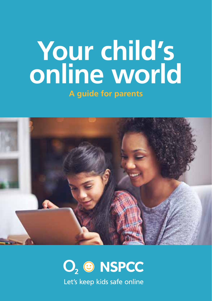# **Your child's online world A guide for parents**



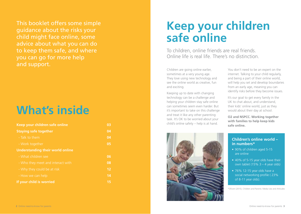This booklet offers some simple guidance about the risks your child might face online, some advice about what you can do to keep them safe, and where you can go for more help and support.

# **What's inside**

| Keep your children safe online          | 03 |
|-----------------------------------------|----|
| <b>Staying safe together</b>            | 04 |
| - Talk to them                          | 04 |
| - Work together                         | 05 |
| <b>Understanding their world online</b> |    |
| - What children see                     | 06 |
| - Who they meet and interact with       | 08 |
| - Why they could be at risk             | 12 |
| - How we can help                       | 14 |
| If your child is worried                | 15 |

# **Keep your children safe online**

To children, online friends are real friends. Online life is real life. There's no distinction.

Children are going online earlier, sometimes at a very young age. They love using new technology and see the online world as creative, fun and exciting.

Keeping up to date with changing technology can be a challenge and helping your children stay safe online can sometimes seem even harder. But it's important to take on this challenge and treat it like any other parenting task. It's OK to be worried about your child's online safety – help is at hand.

You don't need to be an expert on the internet. Talking to your child regularly, and being a part of their online world, will help you set and develop boundaries from an early age, meaning you can identify risks before they become issues.

It's our goal to get every family in the UK to chat about, and understand, their kids' online world, just as they would about their day at school.

**O2 and NSPCC. Working together with families to help keep kids safe online.**

### **Children's online world – in numbers\***

- 90% of children aged 5-15 are online
- 40% of 5-15 year olds have their own tablet  $(15\% 3 - 4$  year olds)
- $\bullet$  76% 12-15 year olds have a social networking profile ( 23% of 8-11 year olds).

\*Ofcom (2015), Children and Parents: Media Use and Attitudes

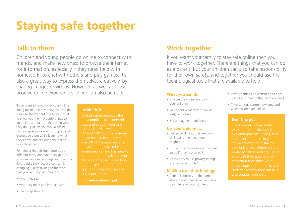# **Staying safe together**

Children and young people go online to connect with friends, and make new ones; to browse the internet for information, especially if they need help with homework; to chat with others and play games. It's also a great way to express themselves creatively, by sharing images or videos. However, as well as these positive online experiences, there can also be risks. **What you can do** 

If you want to know what your child is doing online, the best thing you can do is talk to them about it. Ask your child to show you their favourite things to do online, and take an interest in what they do – just like you would offline. This will give you a way to support and encourage them while learning what they know, and exploring the online world together.

Remember that children develop at different rates, and what they get up to online will vary with age and maturity. So the risks they face are constantly changing – keep talking to them so that you can keep up to date with:

- what they see
- who they meet and interact with
- the things they do.

#### **Insider info**

To find out more about the sites and apps children are O2 and NSPCC's no-nonsense over 50 of the apps and sites apps and sites, block people and report abuse.

Visit **net-aware.org.uk**

## **Talk to them Work together**

If you want your family to stay safe online then you have to work together. There are things that you can do as a parent, but your children can also take responsibility for their own safety, and together you should use the technological tools that are available to help.

- Explore the online world with your children.
- $\bullet$  Talk about what they do online early and often.
- Set and agree boundaries.

#### **Do your children ...**

- Understand what they are doing online and the risks there might be?
- Know how to stay safe and where to go if they're worried?
- Know how to use privacy settings and reporting tools?

#### **Making use of technology**

• Parental controls on the home Wi-Fi, devices and search engines can filter and block content.

- Privacy settings on websites and apps restrict information that can be shared.
- Time settings control how long and when children are online.

#### **Don't forget**

There are also other adults like grandparents, uncles, and conversations about staying safe online. Sometimes children prefer to talk to a trusted adult knowledge and approach, and understand how they can help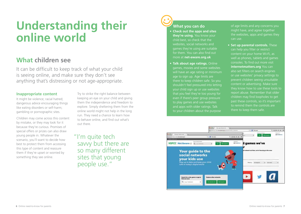# **Understanding their online world**

## **What children see**

It can be difficult to keep track of what your child is seeing online, and make sure they don't see anything that's distressing or not age-appropriate.

#### **Inappropriate content**

It might be violence; racial hatred; dangerous advice encouraging things like eating disorders or self-harm; gambling or pornographic sites.

Children may come across this content by mistake, or they may look for it because they're curious. Promises of special offers or prizes can also draw young people in. Whatever the scenario, you'll want to decide how best to protect them from accessing this type of content and reassure them if they're upset or worried by something they see online.

Try to strike the right balance between keeping an eye on your child and giving them the independence and freedom to explore. Simply sheltering them from the online world might not help in the long run. They need a chance to learn how to behave online, and find out what's out there.

 "I'm quite tech savvy but there are so many different sites that young people use."

### **What you can do**

- • **Check out the apps and sites they're using.** You know your child best, so check that the websites, social networks and games they're using are suitable for them. You can also find out more at **net-aware.org.uk**
- **Talk about age ratings. Online** games, movies and some websites will have an age rating or minimum age to sign up. Age limits are there to keep children safe. So you shouldn't feel pressured into letting your child sign up or use websites that you feel they're too young for even if there's peer group pressure to play games and use websites and apps with older ratings. Talk to your children about the purpose

of age limits and any concerns you might have, and agree together the websites, apps and games they can use.

**• Set up parental controls.** These can help you filter or restrict content on your home Wi-Fi, as well as phones, tablets and games consoles. To find out more visit **internetmatters.org** You can also set filters on search engines or use websites' privacy settings to prevent children seeing unsuitable content or advertising. Make sure they know how to use these tools to report abuse. Remember that older children may find loopholes to get past these controls, so it's important to remind them the controls are there to keep them safe.

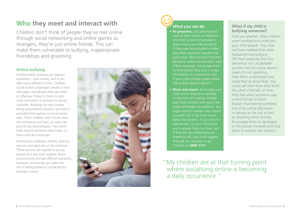## **Who they meet and interact with**

Children don't think of people they've met online through social networking and online games as strangers, they're just online friends. This can make them vulnerable to bullying, inappropriate friendships and grooming.

#### **Online bullying**

Unfortunately, bullying can happen anywhere – even online, and it can take many different forms. Children could receive unpleasant emails or text messages, and people may say mean or offensive things to them or post cruel comments or pictures on social networks. Bullying can also involve being purposefully blocked, ignored or excluded from games or social media sites. Often children won't know who the comments are from, as users can post things anonymously. The online bully may be someone they know, or they could be a stranger.

Anonymous websites, texting, sharing services and apps are on the increase. These services can appeal to young people as it lets them explore issues anonymously and ask difficult questions. However, anonymity can make the risk of being bullied or contacted by strangers worse.





### **What you can do**

**Be proactive.** Use opportunities such as news events or television storylines to start conversations about what your child would do if they were being bullied or what they think should or shouldn't be said online. Remind them that their behaviour online should reflect their offline behaviour. Encourage them to think before they post or share information on anonymous sites. If your child is being bullied online, talk to their teacher about it.

**• Block and report.** Encourage your child not to respond or retaliate to any form of bullying. Instead, help them to block and report the might want to contact their school or youth club to let them know about the incident, if you think it's appropriate. Let your child know if they feel too embarrassed or scared to talk, you could suggest they talk to a teacher or call Childline on **0800 1111**.

#### **What if my child is bullying someone?**

Find out whether other children were involved and what part your child played. They may not have realised that what happened was bullying. Tell them explicitly that this behaviour isn't acceptable and the fact it's online doesn't mean it's not upsetting. Help them understand how what they've done feels. You could ask them how they think the other child felt, or how they feel when someone says unkind things to them. Explain that leaving someone out of an online discussion or group can be just as bad as attacking them directly. Encourage them to apologise to the person involved and help them to remove the content.

"My children are at that turning point where socialising online is becoming a daily occurrence."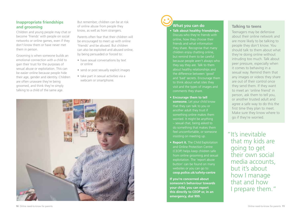#### **Inappropriate friendships and grooming**

Children and young people may chat or become 'friends' with people on social networks or online games, even if they don't know them or have never met them in person.

Grooming is when someone builds an emotional connection with a child to gain their trust for the purposes of sexual abuse or exploitation. This can be easier online because people hide their age, gender and identity. Children are often unaware they're being groomed, and think they're simply talking to a child of the same age.

But remember, children can be at risk of online abuse from people they know, as well as from strangers.

Parents often fear that their children will be encouraged to meet up with online 'friends' and be abused. But children can also be exploited and abused online, by being persuaded or forced to:

- have sexual conversations by text or online
- send or post sexually explicit images
- take part in sexual activities via a webcam or smartphone.



# **What you can do**

- • **Talk about healthy friendships.** Discuss who they're friends with online, how they choose their friends and what information they share. Recognise that many children enjoy chatting online, but remind them to be careful because people aren't always who they say they are. Talk to them about healthy relationships and the difference between 'good' and 'bad' secrets. Encourage them to think about what sites they visit and the types of images and
- • **Encourage them to tell someone.** Let your child know that they can talk to you or another adult they trust if something online makes them worried. It might be anything – sexual chat, being asked to do something that makes them feel uncomfortable, or someone
- **Report it.** The Child Exploitation and Online Protection Centre (CEOP) helps keep children safe from online grooming and sexual exploitation. The 'report abuse button' can be found on many websites or you can go to: **ceop.police.uk/safety-centre**

**If you're concerned about someone's behaviour towards your child, you can report this directly to CEOP or, in an emergency, dial 999.**

#### **Talking to teens**

Teenagers may be defensive about their online network and are more likely to be talking to people they don't know. You should talk to them about what they're doing online without intruding too much. Talk about peer pressure, especially when it comes to behaving in a sexual way. Remind them that any images or videos they share are out of their control once they send them. If they want to meet an 'online friend' in person, ask them to tell you, or another trusted adult and agree a safe way to do this the first time they plan to meet. Make sure they know where to go if they're worried.

 "It's inevitable that my kids are going to get their own social media accounts, but it's about how I manage that and how I prepare them."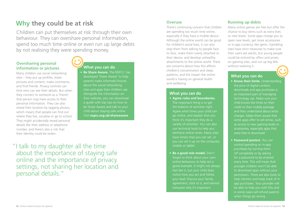## **Why they could be at risk**

Children can put themselves at risk through their own behaviour. They can overshare personal information, spend too much time online or even run up large debts by not realising they were spending money.

#### **Oversharing personal information or pictures**

Many children use social networking sites – they put up profiles, share pictures and content, make comments and find friends. Privacy controls can limit who can see their details. But when they connect to someone as a 'friend', that person may have access to their personal information. They can also reveal their location by tagging photos, which means that people can find out where they live, socialise or go to school. They might accidentally reveal personal details like their address or telephone number, and there's also a risk that their identity could be stolen.

**• Be Share Aware.** The NSPCC has developed 'Share Aware' to help parents make informed choices about the social networking sites and apps their children use. Alongside the information on their website, you can download a guide with top tips on how to be Share Aware and talk to your child about staying safe online. Visit **nspcc.org.uk/shareaware**.

 "I talk to my daughter all the time about the importance of staying safe online and the importance of privacy settings, not sharing her location and personal details."

#### **Overuse**

There's continuing concern that children are spending too much time online, especially if they have a mobile device. Although the online world can be good for children's social lives, it can also stop them from talking to people face to face, make them overly attached to their device, and develop unhealthy attachments to the online world. There **What you can do without realising it.** The same concerns about how this affects without realising it. children's concentration and sleep patterns, and the impact the online world is having on general health and wellbeing.

#### **What you can do**

- **• Agree rules and boundaries.** The important thing is to get the balance of activities right. Agree what times your child can go online, and explain that you think it's important they do a variety of activities. You can also use technical tools to help you reinforce online times. Many sites have timers that you can set, or you can set it up on the computer, mobile or tablet.
- **Be a good role model.** Don't forget to think about your own online behaviour to help set a good example. It might not always feel like it, but your child does your lead. Discuss your family everyone why it's important.

### **Running up debts**

Many online games are free but offer the chance to buy items such as extra lives or new levels. Some apps charge you to open new levels, get more accessories or in-app currency, like gems. Gambling sites have strict measures to make sure their users are adults, but young people could be enticed by offers and prizes on gaming sites, and run up big bills

#### **What you can do**

- **Know their limits.** Understanding the price of digital content, downloads and app purchases is an important part of managing technology use. Make sure your child knows the limits on their credit or their mobile package and they understand about extra charges. Make them aware that some apps offer to sell extras, such as access to new gaming levels or accessories, especially apps that were free to download.
- **• Password protect.** You can control spending on in-app purchases by turning them off completely or by asking for a password to be entered every time. This will mean that younger children won't be able to download apps without your permission. There are also tools to help monitor and keep track of in app purchases. Your provider will be able to help you with this and in some cases will refund parents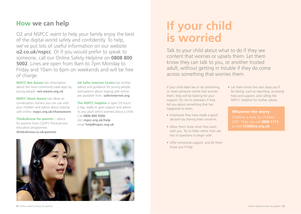## **How we can help**

O2 and NSPCC want to help your family enjoy the best of the digital world safely and confidently. To help, we've put lots of useful information on our website **o2.co.uk/nspcc**. Or if you would prefer to speak to someone, call our Online Safety Helpline on **0808 800 5002**. Lines are open from 9am to 7pm Monday to Friday and 10am to 6pm on weekends and will be free of charge.

**NSPCC Net Aware** has information about the most commonly used apps by young people. **net-aware.org.uk**

**NSPCC Share Aware** has ideas on conversation starters you can use with your children and advice about staying safe online. **nspcc.org.uk/shareaware**

**ThinkuKnow for parents** – advice for parents from CEOP's ThinkuKnow education programme. **thinkuknow.co.uk/parents** 

**UK Safer Internet Centre** has further advice and guidance for young people and parents about staying safe online are available from. **saferinternet.org** 

**The NSPCC helpline** is open 24 hours a day, ready to give support and advice to any adult who's worried about a child. Call **0800 800 5000**, visit **nspcc.org.uk/help** email **help@nspcc.org.uk**



# **If your child is worried**

Talk to your child about what to do if they see content that worries or upsets them. Let them know they can talk to you, or another trusted adult, without getting in trouble if they do come across something that worries them.

If your child does see or do something, or meet someone online that worries them, they will be looking for your support. Try not to overreact if they tell you about something that has happened to them.

- Emphasise they have made a good decision by sharing their concerns.
- Allow them share what they want with you. Try to listen rather than ask lots of questions to begin with.
- Offer emotional support, and let them know you'll help.

• Let them know the next steps you'll be taking, such as reporting, accessing help and support, and calling the NSPCC helpline for further advice.

**Whatever the worry** 24/7. They can call **0800 1111**